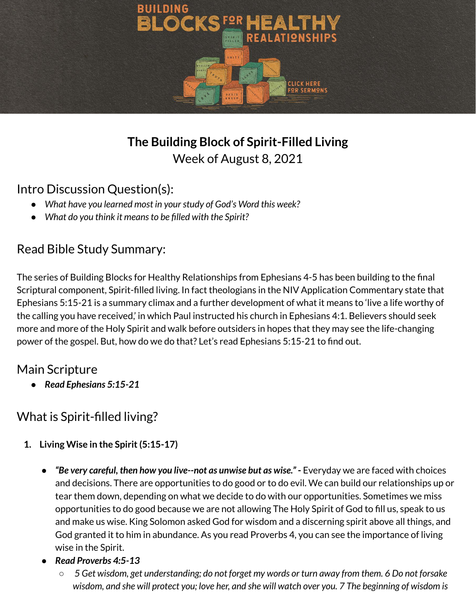

## **The Building Block of Spirit-Filled Living** Week of August 8, 2021

#### Intro Discussion Question(s):

- *● What have you learned most in yourstudy of God's Word this week?*
- *● What do you think it meansto be filled with the Spirit?*

## Read Bible Study Summary:

The series of Building Blocks for Healthy Relationships from Ephesians 4-5 has been building to the final Scriptural component, Spirit-filled living. In fact theologians in the NIV Application Commentary state that Ephesians 5:15-21 is a summary climax and a further development of what it means to 'live a life worthy of the calling you have received,' in which Paul instructed his church in Ephesians 4:1. Believers should seek more and more of the Holy Spirit and walk before outsiders in hopes that they may see the life-changing power of the gospel. But, how do we do that? Let's read Ephesians 5:15-21 to find out.

## Main Scripture

*● Read Ephesians 5:15-21*

## What is Spirit-filled living?

- **1. Living Wise in the Spirit(5:15-17)**
	- *"Be very careful, then how you live--not as unwise but as wise."* **-** Everyday we are faced with choices and decisions. There are opportunities to do good or to do evil. We can build our relationships up or tear them down, depending on what we decide to do with our opportunities. Sometimes we miss opportunities to do good because we are not allowing The Holy Spirit of God to fill us, speak to us and make us wise. King Solomon asked God for wisdom and a discerning spirit above all things, and God granted it to him in abundance. As you read Proverbs 4, you can see the importance of living wise in the Spirit.
	- *Read Proverbs 4:5-13*
		- $\circ$  5 Get wisdom, get understanding; do not forget my words or turn away from them. 6 Do not forsake wisdom, and she will protect you; love her, and she will watch over you. 7 The beginning of wisdom is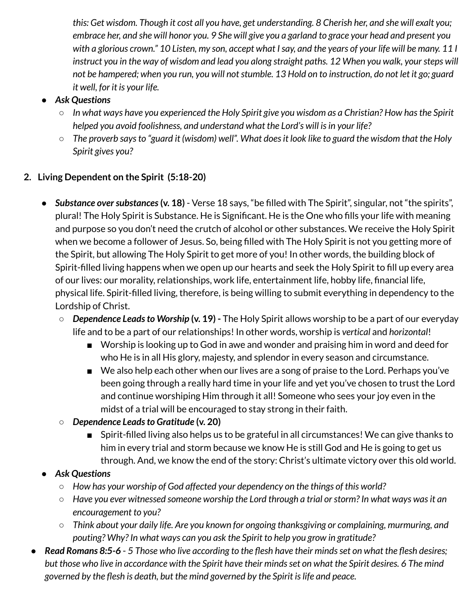this: Get wisdom. Though it cost all you have, get understanding. 8 Cherish her, and she will exalt you; embrace her, and she will honor you. 9 She will give you a garland to grace your head and present you with a glorious crown." 10 Listen, my son, accept what I say, and the years of your life will be many. 11 I instruct you in the way of wisdom and lead you along straight paths. 12 When you walk, your steps will not be hampered; when you run, you will not stumble. 13 Hold on to instruction, do not let it go; guard *it well, for it is your life.*

- *● Ask Questions*
	- $\circ$  In what ways have you experienced the Holy Spirit give you wisdom as a Christian? How has the Spirit *helped you avoid foolishness, and understand what the Lord's will isin your life?*
	- The proverb says to "guard it (wisdom) well". What does it look like to guard the wisdom that the Holy *Spirit gives you?*

#### **2. Living Dependent on the Spirit (5:18-20)**

- *Substance oversubstances***(v. 18)** Verse 18 says, "be filled with The Spirit", singular, not "the spirits", plural! The Holy Spirit is Substance. He is Significant. He is the One who fills your life with meaning and purpose so you don't need the crutch of alcohol or other substances. We receive the Holy Spirit when we become a follower of Jesus. So, being filled with The Holy Spirit is not you getting more of the Spirit, but allowing The Holy Spirit to get more of you! In other words, the building block of Spirit-filled living happens when we open up our hearts and seek the Holy Spirit to fill up every area of our lives: our morality, relationships, work life, entertainment life, hobby life, financial life, physical life. Spirit-filled living, therefore, is being willing to submit everything in dependency to the Lordship of Christ.
	- *○ Dependence Leadsto Worship* **(v. 19) -** The Holy Spirit allows worship to be a part of our everyday life and to be a part of our relationships! In other words, worship is *vertical* and *horizontal*!
		- *■* Worship is looking up to God in awe and wonder and praising him in word and deed for who He is in all His glory, majesty, and splendor in every season and circumstance.
		- We also help each other when our lives are a song of praise to the Lord. Perhaps you've been going through a really hard time in your life and yet you've chosen to trust the Lord and continue worshiping Him through it all! Someone who sees your joy even in the midst of a trial will be encouraged to stay strong in their faith.
	- *○ Dependence Leadsto Gratitude* **(v. 20)**
		- Spirit-filled living also helps us to be grateful in all circumstances! We can give thanks to him in every trial and storm because we know He is still God and He is going to get us through. And, we know the end of the story: Christ's ultimate victory over this old world.

#### *● Ask Questions*

- *○ How has your worship of God affected your dependency on the things of this world?*
- *○ Have you ever witnessed someone worship the Lord through a trial orstorm? In what ways wasit an encouragement to you?*
- *○ Think about your daily life. Are you known for ongoing thanksgiving or complaining, murmuring, and pouting? Why? In what ways can you ask the Spirit to help you grow in gratitude?*
- Read Romans 8:5-6 5 Those who live according to the flesh have their minds set on what the flesh desires; but those who live in accordance with the Spirit have their minds set on what the Spirit desires. 6 The mind *governed by the flesh is death, but the mind governed by the Spirit islife and peace.*